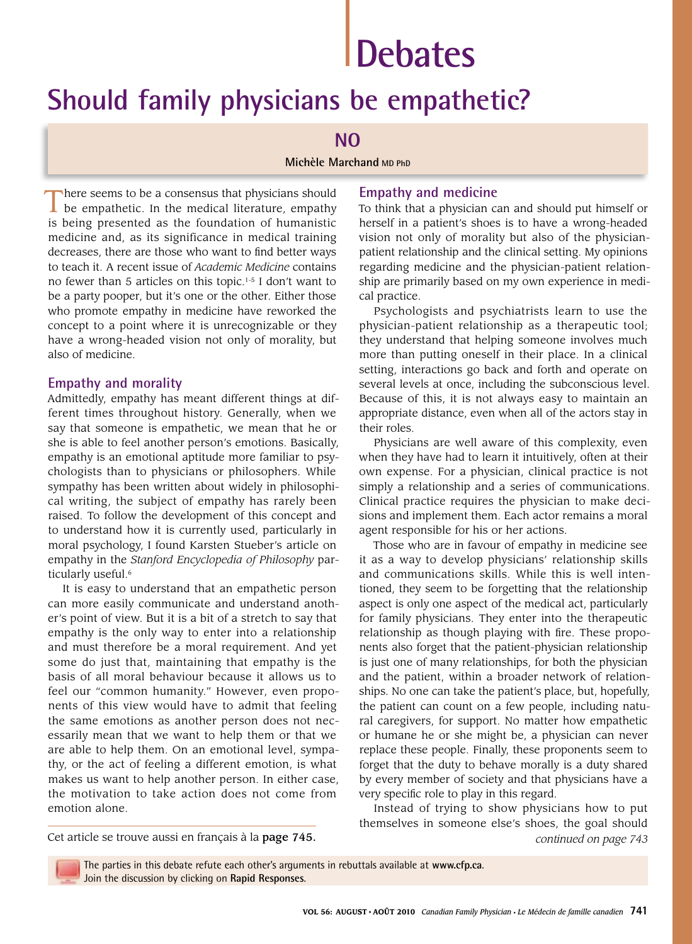# **Debates**

# **Should family physicians be empathetic?**

# **NO**

#### **Michèle Marchand MD PhD**

There seems to be a consensus that physicians should be empathetic. In the medical literature, empathy is being presented as the foundation of humanistic medicine and, as its significance in medical training decreases, there are those who want to find better ways to teach it. A recent issue of *Academic Medicine* contains no fewer than 5 articles on this topic.1-5 I don't want to be a party pooper, but it's one or the other. Either those who promote empathy in medicine have reworked the concept to a point where it is unrecognizable or they have a wrong-headed vision not only of morality, but also of medicine.

### **Empathy and morality**

Admittedly, empathy has meant different things at different times throughout history. Generally, when we say that someone is empathetic, we mean that he or she is able to feel another person's emotions. Basically, empathy is an emotional aptitude more familiar to psychologists than to physicians or philosophers. While sympathy has been written about widely in philosophical writing, the subject of empathy has rarely been raised. To follow the development of this concept and to understand how it is currently used, particularly in moral psychology, I found Karsten Stueber's article on empathy in the *Stanford Encyclopedia of Philosophy* particularly useful.<sup>6</sup>

It is easy to understand that an empathetic person can more easily communicate and understand another's point of view. But it is a bit of a stretch to say that empathy is the only way to enter into a relationship and must therefore be a moral requirement. And yet some do just that, maintaining that empathy is the basis of all moral behaviour because it allows us to feel our "common humanity." However, even proponents of this view would have to admit that feeling the same emotions as another person does not necessarily mean that we want to help them or that we are able to help them. On an emotional level, sympathy, or the act of feeling a different emotion, is what makes us want to help another person. In either case, the motivation to take action does not come from emotion alone.

## **Empathy and medicine**

To think that a physician can and should put himself or herself in a patient's shoes is to have a wrong-headed vision not only of morality but also of the physicianpatient relationship and the clinical setting. My opinions regarding medicine and the physician-patient relationship are primarily based on my own experience in medical practice.

Psychologists and psychiatrists learn to use the physician-patient relationship as a therapeutic tool; they understand that helping someone involves much more than putting oneself in their place. In a clinical setting, interactions go back and forth and operate on several levels at once, including the subconscious level. Because of this, it is not always easy to maintain an appropriate distance, even when all of the actors stay in their roles.

Physicians are well aware of this complexity, even when they have had to learn it intuitively, often at their own expense. For a physician, clinical practice is not simply a relationship and a series of communications. Clinical practice requires the physician to make decisions and implement them. Each actor remains a moral agent responsible for his or her actions.

Those who are in favour of empathy in medicine see it as a way to develop physicians' relationship skills and communications skills. While this is well intentioned, they seem to be forgetting that the relationship aspect is only one aspect of the medical act, particularly for family physicians. They enter into the therapeutic relationship as though playing with fire. These proponents also forget that the patient-physician relationship is just one of many relationships, for both the physician and the patient, within a broader network of relationships. No one can take the patient's place, but, hopefully, the patient can count on a few people, including natural caregivers, for support. No matter how empathetic or humane he or she might be, a physician can never replace these people. Finally, these proponents seem to forget that the duty to behave morally is a duty shared by every member of society and that physicians have a very specific role to play in this regard.

Instead of trying to show physicians how to put themselves in someone else's shoes, the goal should Cet article se trouve aussi en français à la page 745. *continued on page 743*

The parties in this debate refute each other's arguments in rebuttals available at **www.cfp.ca**. Join the discussion by clicking on **Rapid Responses**.